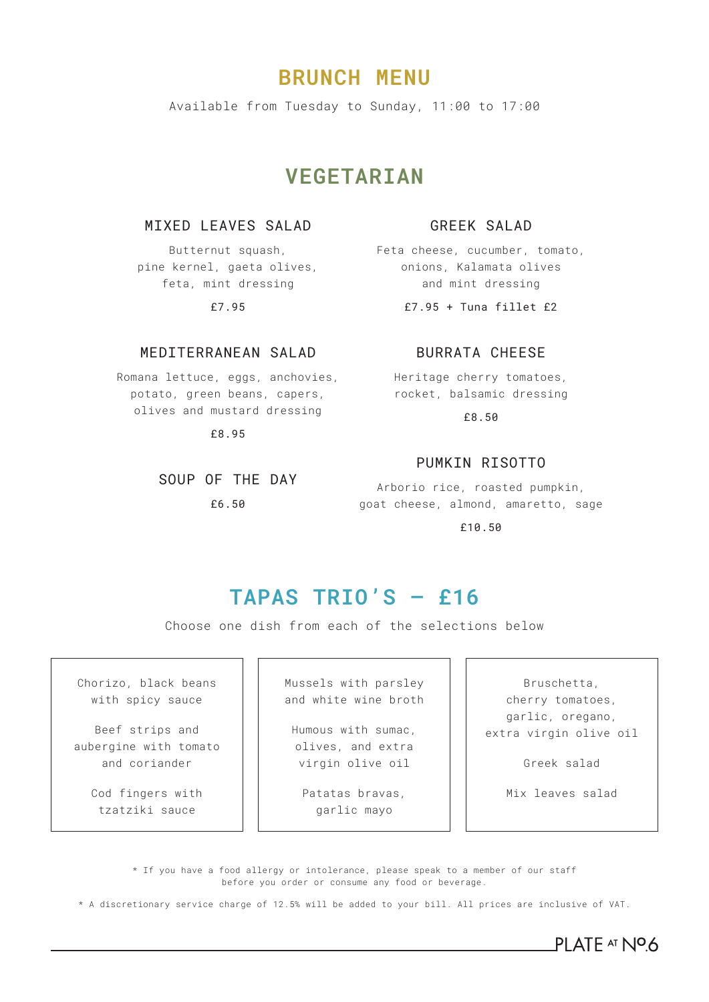# **BRUNCH MENU**

Available from Tuesday to Sunday, 11:00 to 17:00

# **VEGETARIAN**

### MIXED LEAVES SALAD

Butternut squash, pine kernel, gaeta olives, feta, mint dressing

£7.95

## MEDITERRANEAN SALAD

Romana lettuce, eggs, anchovies, potato, green beans, capers, olives and mustard dressing

£8.95

SOUP OF THE DAY

£6.50

### GREEK SALAD

Feta cheese, cucumber, tomato, onions, Kalamata olives and mint dressing

£7.95 + Tuna fillet £2

## BURRATA CHEESE

Heritage cherry tomatoes, rocket, balsamic dressing

£8.50

### PUMKIN RISOTTO

Arborio rice, roasted pumpkin, goat cheese, almond, amaretto, sage

£10.50

# **TAPAS TRIO'S – £16**

Choose one dish from each of the selections below

Chorizo, black beans with spicy sauce

Beef strips and aubergine with tomato and coriander

> Cod fingers with tzatziki sauce

Mussels with parsley and white wine broth

Humous with sumac, olives, and extra virgin olive oil

Patatas bravas, garlic mayo

Bruschetta, cherry tomatoes, garlic, oregano, extra virgin olive oil

Greek salad

Mix leaves salad

\* If you have a food allergy or intolerance, please speak to a member of our staff before you order or consume any food or beverage.

\* A discretionary service charge of 12.5% will be added to your bill. All prices are inclusive of VAT.